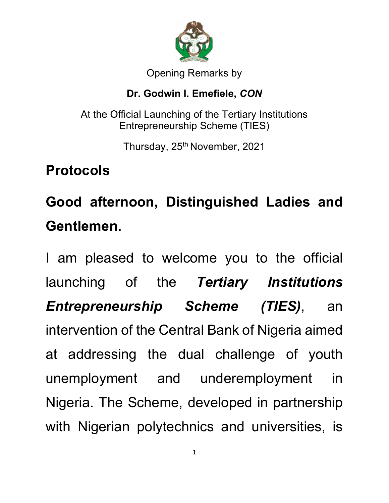

#### Opening Remarks by

### **Dr. Godwin I. Emefiele,** *CON*

At the Official Launching of the Tertiary Institutions Entrepreneurship Scheme (TIES)

Thursday, 25<sup>th</sup> November, 2021

## **Protocols**

# **Good afternoon, Distinguished Ladies and Gentlemen.**

I am pleased to welcome you to the official launching of the *Tertiary Institutions Entrepreneurship Scheme (TIES)*, an intervention of the Central Bank of Nigeria aimed at addressing the dual challenge of youth unemployment and underemployment in Nigeria. The Scheme, developed in partnership with Nigerian polytechnics and universities, is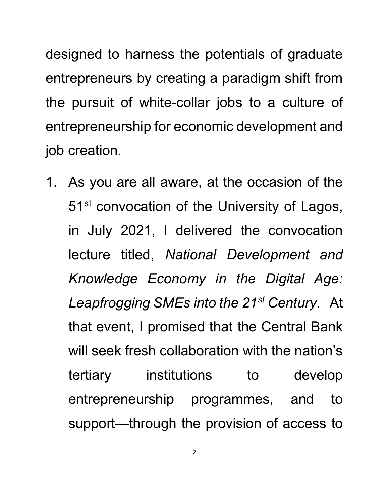designed to harness the potentials of graduate entrepreneurs by creating a paradigm shift from the pursuit of white-collar jobs to a culture of entrepreneurship for economic development and job creation.

1. As you are all aware, at the occasion of the 51<sup>st</sup> convocation of the University of Lagos, in July 2021, I delivered the convocation lecture titled, *National Development and Knowledge Economy in the Digital Age: Leapfrogging SMEs into the 21st Century*. At that event, I promised that the Central Bank will seek fresh collaboration with the nation's tertiary institutions to develop entrepreneurship programmes, and to support—through the provision of access to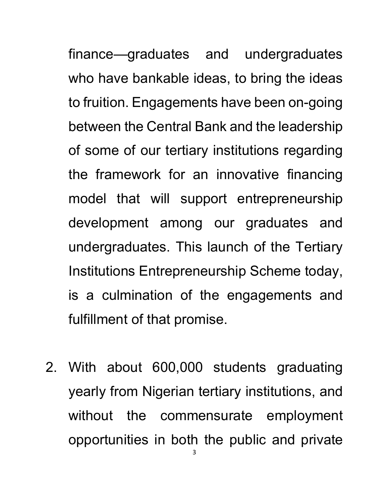finance—graduates and undergraduates who have bankable ideas, to bring the ideas to fruition. Engagements have been on-going between the Central Bank and the leadership of some of our tertiary institutions regarding the framework for an innovative financing model that will support entrepreneurship development among our graduates and undergraduates. This launch of the Tertiary Institutions Entrepreneurship Scheme today, is a culmination of the engagements and fulfillment of that promise.

2. With about 600,000 students graduating yearly from Nigerian tertiary institutions, and without the commensurate employment opportunities in both the public and private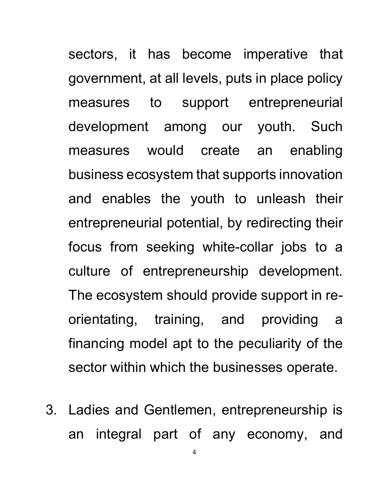sectors, it has become imperative that government, at all levels, puts in place policy measures to support entrepreneurial development among our youth. Such measures would create an enabling business ecosystem that supports innovation and enables the youth to unleash their entrepreneurial potential, by redirecting their focus from seeking white-collar jobs to a culture of entrepreneurship development. The ecosystem should provide support in reorientating, training, and providing a financing model apt to the peculiarity of the sector within which the businesses operate.

3. Ladies and Gentlemen, entrepreneurship is an integral part of any economy, and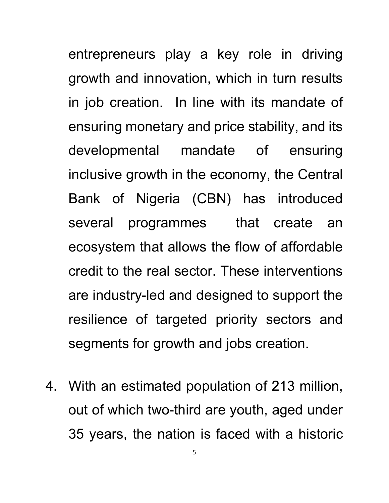entrepreneurs play a key role in driving growth and innovation, which in turn results in job creation. In line with its mandate of ensuring monetary and price stability, and its developmental mandate of ensuring inclusive growth in the economy, the Central Bank of Nigeria (CBN) has introduced several programmes that create an ecosystem that allows the flow of affordable credit to the real sector. These interventions are industry-led and designed to support the resilience of targeted priority sectors and segments for growth and jobs creation.

4. With an estimated population of 213 million, out of which two-third are youth, aged under 35 years, the nation is faced with a historic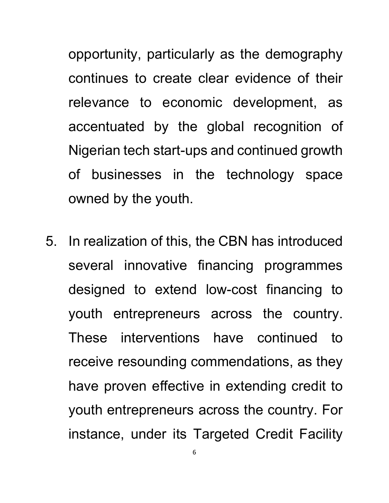opportunity, particularly as the demography continues to create clear evidence of their relevance to economic development, as accentuated by the global recognition of Nigerian tech start-ups and continued growth of businesses in the technology space owned by the youth.

5. In realization of this, the CBN has introduced several innovative financing programmes designed to extend low-cost financing to youth entrepreneurs across the country. These interventions have continued to receive resounding commendations, as they have proven effective in extending credit to youth entrepreneurs across the country. For instance, under its Targeted Credit Facility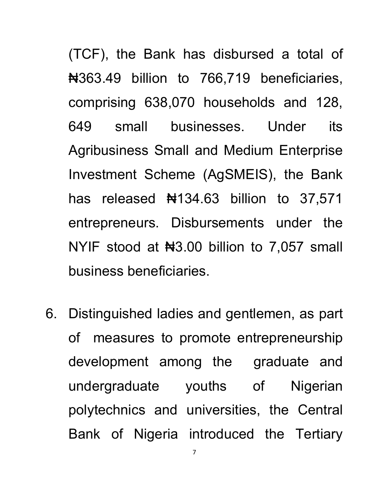(TCF), the Bank has disbursed a total of ₦363.49 billion to 766,719 beneficiaries, comprising 638,070 households and 128, 649 small businesses. Under its Agribusiness Small and Medium Enterprise Investment Scheme (AgSMEIS), the Bank has released  $\frac{1}{2}$  134.63 billion to 37,571 entrepreneurs. Disbursements under the NYIF stood at No. 00 billion to 7,057 small business beneficiaries.

6. Distinguished ladies and gentlemen, as part of measures to promote entrepreneurship development among the graduate and undergraduate youths of Nigerian polytechnics and universities, the Central Bank of Nigeria introduced the Tertiary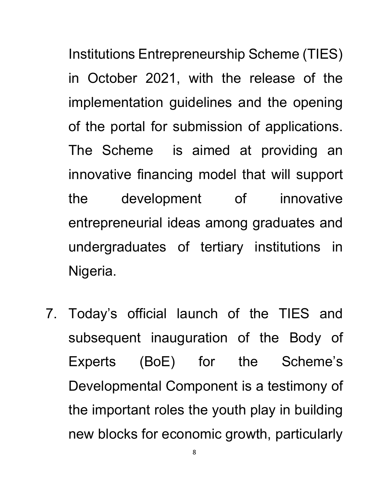Institutions Entrepreneurship Scheme (TIES) in October 2021, with the release of the implementation guidelines and the opening of the portal for submission of applications. The Scheme is aimed at providing an innovative financing model that will support the development of innovative entrepreneurial ideas among graduates and undergraduates of tertiary institutions in Nigeria.

7. Today's official launch of the TIES and subsequent inauguration of the Body of Experts (BoE) for the Scheme's Developmental Component is a testimony of the important roles the youth play in building new blocks for economic growth, particularly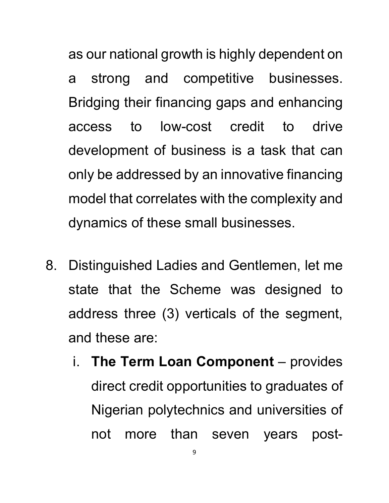as our national growth is highly dependent on a strong and competitive businesses. Bridging their financing gaps and enhancing access to low-cost credit to drive development of business is a task that can only be addressed by an innovative financing model that correlates with the complexity and dynamics of these small businesses.

- 8. Distinguished Ladies and Gentlemen, let me state that the Scheme was designed to address three (3) verticals of the segment, and these are:
	- i. **The Term Loan Component** provides direct credit opportunities to graduates of Nigerian polytechnics and universities of not more than seven years post-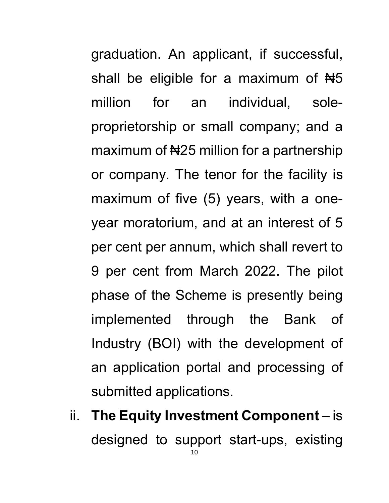graduation. An applicant, if successful, shall be eligible for a maximum of  $H_5$ million for an individual, soleproprietorship or small company; and a maximum of #25 million for a partnership or company. The tenor for the facility is maximum of five (5) years, with a oneyear moratorium, and at an interest of 5 per cent per annum, which shall revert to 9 per cent from March 2022. The pilot phase of the Scheme is presently being implemented through the Bank of Industry (BOI) with the development of an application portal and processing of submitted applications.

10 ii. **The Equity Investment Component** – is designed to support start-ups, existing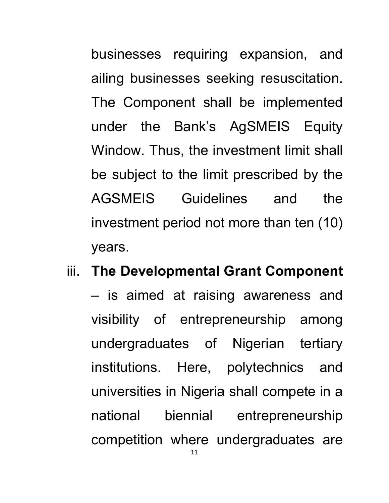businesses requiring expansion, and ailing businesses seeking resuscitation. The Component shall be implemented under the Bank's AgSMEIS Equity Window. Thus, the investment limit shall be subject to the limit prescribed by the AGSMEIS Guidelines and the investment period not more than ten (10) years.

### iii. **The Developmental Grant Component**

– is aimed at raising awareness and visibility of entrepreneurship among undergraduates of Nigerian tertiary institutions. Here, polytechnics and universities in Nigeria shall compete in a national biennial entrepreneurship competition where undergraduates are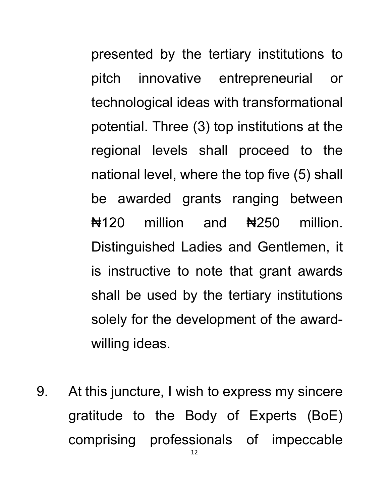presented by the tertiary institutions to pitch innovative entrepreneurial or technological ideas with transformational potential. Three (3) top institutions at the regional levels shall proceed to the national level, where the top five (5) shall be awarded grants ranging between  $\frac{1}{20}$  million and  $\frac{1}{250}$  million. Distinguished Ladies and Gentlemen, it is instructive to note that grant awards shall be used by the tertiary institutions solely for the development of the awardwilling ideas.

9. At this juncture, I wish to express my sincere gratitude to the Body of Experts (BoE) comprising professionals of impeccable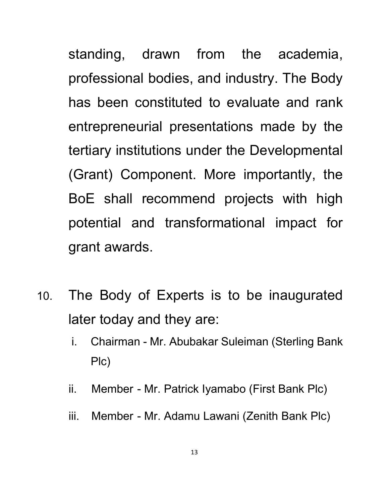standing, drawn from the academia, professional bodies, and industry. The Body has been constituted to evaluate and rank entrepreneurial presentations made by the tertiary institutions under the Developmental (Grant) Component. More importantly, the BoE shall recommend projects with high potential and transformational impact for grant awards.

- 10. The Body of Experts is to be inaugurated later today and they are:
	- i. Chairman Mr. Abubakar Suleiman (Sterling Bank Plc)
	- ii. Member Mr. Patrick Iyamabo (First Bank Plc)
	- iii. Member Mr. Adamu Lawani (Zenith Bank Plc)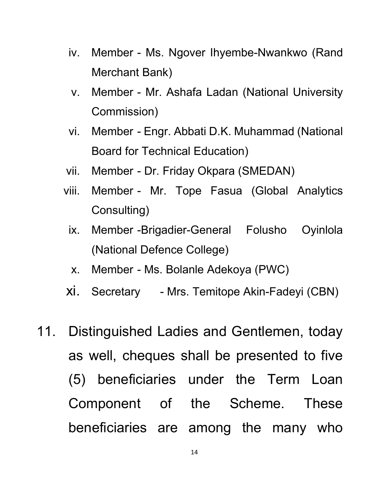- iv. Member Ms. Ngover Ihyembe-Nwankwo (Rand Merchant Bank)
- v. Member Mr. Ashafa Ladan (National University Commission)
- vi. Member Engr. Abbati D.K. Muhammad (National Board for Technical Education)
- vii. Member Dr. Friday Okpara (SMEDAN)
- viii. Member Mr. Tope Fasua (Global Analytics Consulting)
	- ix. Member -Brigadier-General Folusho Oyinlola (National Defence College)
	- x. Member Ms. Bolanle Adekoya (PWC)
- xi. Secretary Mrs. Temitope Akin-Fadeyi (CBN)
- 11. Distinguished Ladies and Gentlemen, today as well, cheques shall be presented to five (5) beneficiaries under the Term Loan Component of the Scheme. These beneficiaries are among the many who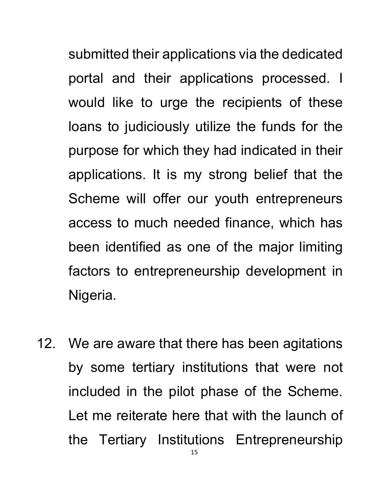submitted their applications via the dedicated portal and their applications processed. I would like to urge the recipients of these loans to judiciously utilize the funds for the purpose for which they had indicated in their applications. It is my strong belief that the Scheme will offer our youth entrepreneurs access to much needed finance, which has been identified as one of the major limiting factors to entrepreneurship development in Nigeria.

12. We are aware that there has been agitations by some tertiary institutions that were not included in the pilot phase of the Scheme. Let me reiterate here that with the launch of the Tertiary Institutions Entrepreneurship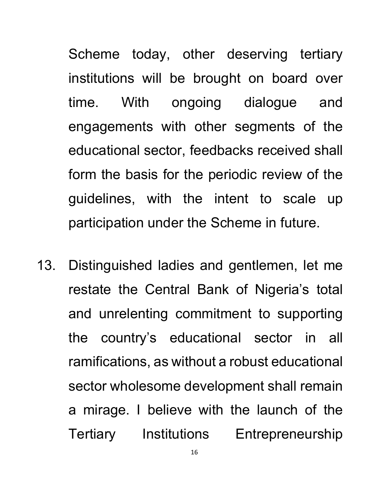Scheme today, other deserving tertiary institutions will be brought on board over time. With ongoing dialogue and engagements with other segments of the educational sector, feedbacks received shall form the basis for the periodic review of the guidelines, with the intent to scale up participation under the Scheme in future.

13. Distinguished ladies and gentlemen, let me restate the Central Bank of Nigeria's total and unrelenting commitment to supporting the country's educational sector in all ramifications, as without a robust educational sector wholesome development shall remain a mirage. I believe with the launch of the Tertiary Institutions Entrepreneurship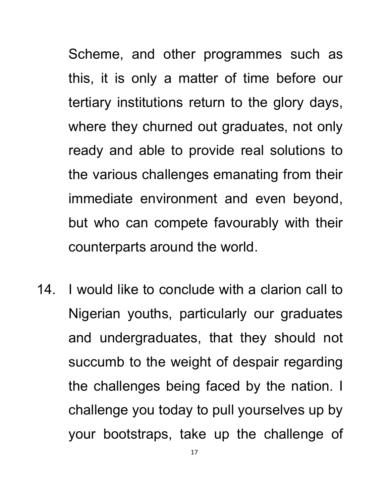Scheme, and other programmes such as this, it is only a matter of time before our tertiary institutions return to the glory days, where they churned out graduates, not only ready and able to provide real solutions to the various challenges emanating from their immediate environment and even beyond, but who can compete favourably with their counterparts around the world.

14. I would like to conclude with a clarion call to Nigerian youths, particularly our graduates and undergraduates, that they should not succumb to the weight of despair regarding the challenges being faced by the nation. I challenge you today to pull yourselves up by your bootstraps, take up the challenge of